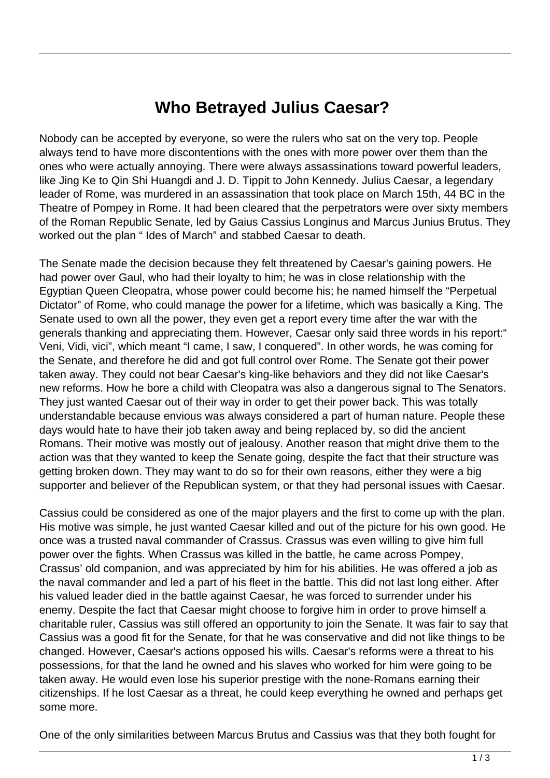## **Who Betrayed Julius Caesar?**

Nobody can be accepted by everyone, so were the rulers who sat on the very top. People always tend to have more discontentions with the ones with more power over them than the ones who were actually annoying. There were always assassinations toward powerful leaders, like Jing Ke to Qin Shi Huangdi and J. D. Tippit to John Kennedy. Julius Caesar, a legendary leader of Rome, was murdered in an assassination that took place on March 15th, 44 BC in the Theatre of Pompey in Rome. It had been cleared that the perpetrators were over sixty members of the Roman Republic Senate, led by Gaius Cassius Longinus and Marcus Junius Brutus. They worked out the plan " Ides of March" and stabbed Caesar to death.

The Senate made the decision because they felt threatened by Caesar's gaining powers. He had power over Gaul, who had their loyalty to him; he was in close relationship with the Egyptian Queen Cleopatra, whose power could become his; he named himself the "Perpetual Dictator" of Rome, who could manage the power for a lifetime, which was basically a King. The Senate used to own all the power, they even get a report every time after the war with the generals thanking and appreciating them. However, Caesar only said three words in his report:" Veni, Vidi, vici", which meant "I came, I saw, I conquered". In other words, he was coming for the Senate, and therefore he did and got full control over Rome. The Senate got their power taken away. They could not bear Caesar's king-like behaviors and they did not like Caesar's new reforms. How he bore a child with Cleopatra was also a dangerous signal to The Senators. They just wanted Caesar out of their way in order to get their power back. This was totally understandable because envious was always considered a part of human nature. People these days would hate to have their job taken away and being replaced by, so did the ancient Romans. Their motive was mostly out of jealousy. Another reason that might drive them to the action was that they wanted to keep the Senate going, despite the fact that their structure was getting broken down. They may want to do so for their own reasons, either they were a big supporter and believer of the Republican system, or that they had personal issues with Caesar.

Cassius could be considered as one of the major players and the first to come up with the plan. His motive was simple, he just wanted Caesar killed and out of the picture for his own good. He once was a trusted naval commander of Crassus. Crassus was even willing to give him full power over the fights. When Crassus was killed in the battle, he came across Pompey, Crassus' old companion, and was appreciated by him for his abilities. He was offered a job as the naval commander and led a part of his fleet in the battle. This did not last long either. After his valued leader died in the battle against Caesar, he was forced to surrender under his enemy. Despite the fact that Caesar might choose to forgive him in order to prove himself a charitable ruler, Cassius was still offered an opportunity to join the Senate. It was fair to say that Cassius was a good fit for the Senate, for that he was conservative and did not like things to be changed. However, Caesar's actions opposed his wills. Caesar's reforms were a threat to his possessions, for that the land he owned and his slaves who worked for him were going to be taken away. He would even lose his superior prestige with the none-Romans earning their citizenships. If he lost Caesar as a threat, he could keep everything he owned and perhaps get some more.

One of the only similarities between Marcus Brutus and Cassius was that they both fought for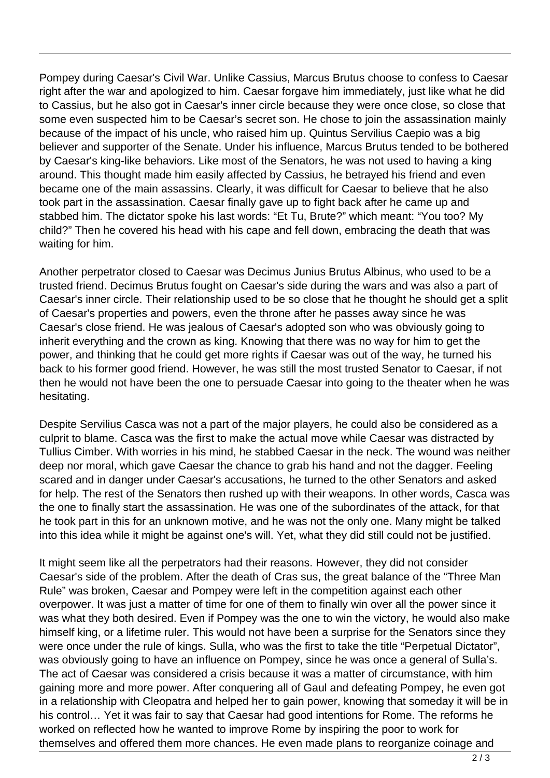Pompey during Caesar's Civil War. Unlike Cassius, Marcus Brutus choose to confess to Caesar right after the war and apologized to him. Caesar forgave him immediately, just like what he did to Cassius, but he also got in Caesar's inner circle because they were once close, so close that some even suspected him to be Caesar's secret son. He chose to join the assassination mainly because of the impact of his uncle, who raised him up. Quintus Servilius Caepio was a big believer and supporter of the Senate. Under his influence, Marcus Brutus tended to be bothered by Caesar's king-like behaviors. Like most of the Senators, he was not used to having a king around. This thought made him easily affected by Cassius, he betrayed his friend and even became one of the main assassins. Clearly, it was difficult for Caesar to believe that he also took part in the assassination. Caesar finally gave up to fight back after he came up and stabbed him. The dictator spoke his last words: "Et Tu, Brute?" which meant: "You too? My child?" Then he covered his head with his cape and fell down, embracing the death that was waiting for him.

Another perpetrator closed to Caesar was Decimus Junius Brutus Albinus, who used to be a trusted friend. Decimus Brutus fought on Caesar's side during the wars and was also a part of Caesar's inner circle. Their relationship used to be so close that he thought he should get a split of Caesar's properties and powers, even the throne after he passes away since he was Caesar's close friend. He was jealous of Caesar's adopted son who was obviously going to inherit everything and the crown as king. Knowing that there was no way for him to get the power, and thinking that he could get more rights if Caesar was out of the way, he turned his back to his former good friend. However, he was still the most trusted Senator to Caesar, if not then he would not have been the one to persuade Caesar into going to the theater when he was hesitating.

Despite Servilius Casca was not a part of the major players, he could also be considered as a culprit to blame. Casca was the first to make the actual move while Caesar was distracted by Tullius Cimber. With worries in his mind, he stabbed Caesar in the neck. The wound was neither deep nor moral, which gave Caesar the chance to grab his hand and not the dagger. Feeling scared and in danger under Caesar's accusations, he turned to the other Senators and asked for help. The rest of the Senators then rushed up with their weapons. In other words, Casca was the one to finally start the assassination. He was one of the subordinates of the attack, for that he took part in this for an unknown motive, and he was not the only one. Many might be talked into this idea while it might be against one's will. Yet, what they did still could not be justified.

It might seem like all the perpetrators had their reasons. However, they did not consider Caesar's side of the problem. After the death of Cras sus, the great balance of the "Three Man Rule" was broken, Caesar and Pompey were left in the competition against each other overpower. It was just a matter of time for one of them to finally win over all the power since it was what they both desired. Even if Pompey was the one to win the victory, he would also make himself king, or a lifetime ruler. This would not have been a surprise for the Senators since they were once under the rule of kings. Sulla, who was the first to take the title "Perpetual Dictator", was obviously going to have an influence on Pompey, since he was once a general of Sulla's. The act of Caesar was considered a crisis because it was a matter of circumstance, with him gaining more and more power. After conquering all of Gaul and defeating Pompey, he even got in a relationship with Cleopatra and helped her to gain power, knowing that someday it will be in his control… Yet it was fair to say that Caesar had good intentions for Rome. The reforms he worked on reflected how he wanted to improve Rome by inspiring the poor to work for themselves and offered them more chances. He even made plans to reorganize coinage and